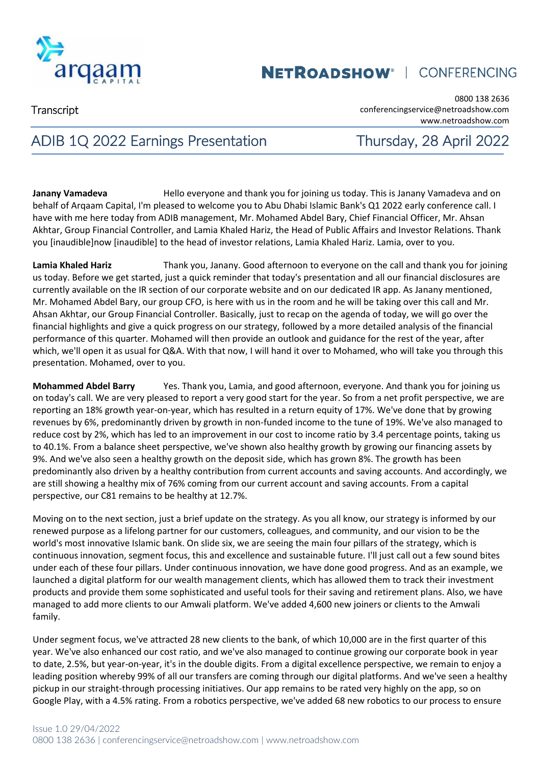

**Transcript** 

0800 138 2636 conferencingservice@netroadshow.com www.netroadshow.com

## ADIB 1Q 2022 Earnings Presentation Thursday, 28 April 2022

**Janany Vamadeva** Hello everyone and thank you for joining us today. This is Janany Vamadeva and on behalf of Arqaam Capital, I'm pleased to welcome you to Abu Dhabi Islamic Bank's Q1 2022 early conference call. I have with me here today from ADIB management, Mr. Mohamed Abdel Bary, Chief Financial Officer, Mr. Ahsan Akhtar, Group Financial Controller, and Lamia Khaled Hariz, the Head of Public Affairs and Investor Relations. Thank you [inaudible]now [inaudible] to the head of investor relations, Lamia Khaled Hariz. Lamia, over to you.

**Lamia Khaled Hariz** Thank you, Janany. Good afternoon to everyone on the call and thank you for joining us today. Before we get started, just a quick reminder that today's presentation and all our financial disclosures are currently available on the IR section of our corporate website and on our dedicated IR app. As Janany mentioned, Mr. Mohamed Abdel Bary, our group CFO, is here with us in the room and he will be taking over this call and Mr. Ahsan Akhtar, our Group Financial Controller. Basically, just to recap on the agenda of today, we will go over the financial highlights and give a quick progress on our strategy, followed by a more detailed analysis of the financial performance of this quarter. Mohamed will then provide an outlook and guidance for the rest of the year, after which, we'll open it as usual for Q&A. With that now, I will hand it over to Mohamed, who will take you through this presentation. Mohamed, over to you.

**Mohammed Abdel Barry** Yes. Thank you, Lamia, and good afternoon, everyone. And thank you for joining us on today's call. We are very pleased to report a very good start for the year. So from a net profit perspective, we are reporting an 18% growth year-on-year, which has resulted in a return equity of 17%. We've done that by growing revenues by 6%, predominantly driven by growth in non-funded income to the tune of 19%. We've also managed to reduce cost by 2%, which has led to an improvement in our cost to income ratio by 3.4 percentage points, taking us to 40.1%. From a balance sheet perspective, we've shown also healthy growth by growing our financing assets by 9%. And we've also seen a healthy growth on the deposit side, which has grown 8%. The growth has been predominantly also driven by a healthy contribution from current accounts and saving accounts. And accordingly, we are still showing a healthy mix of 76% coming from our current account and saving accounts. From a capital perspective, our C81 remains to be healthy at 12.7%.

Moving on to the next section, just a brief update on the strategy. As you all know, our strategy is informed by our renewed purpose as a lifelong partner for our customers, colleagues, and community, and our vision to be the world's most innovative Islamic bank. On slide six, we are seeing the main four pillars of the strategy, which is continuous innovation, segment focus, this and excellence and sustainable future. I'll just call out a few sound bites under each of these four pillars. Under continuous innovation, we have done good progress. And as an example, we launched a digital platform for our wealth management clients, which has allowed them to track their investment products and provide them some sophisticated and useful tools for their saving and retirement plans. Also, we have managed to add more clients to our Amwali platform. We've added 4,600 new joiners or clients to the Amwali family.

Under segment focus, we've attracted 28 new clients to the bank, of which 10,000 are in the first quarter of this year. We've also enhanced our cost ratio, and we've also managed to continue growing our corporate book in year to date, 2.5%, but year-on-year, it's in the double digits. From a digital excellence perspective, we remain to enjoy a leading position whereby 99% of all our transfers are coming through our digital platforms. And we've seen a healthy pickup in our straight-through processing initiatives. Our app remains to be rated very highly on the app, so on Google Play, with a 4.5% rating. From a robotics perspective, we've added 68 new robotics to our process to ensure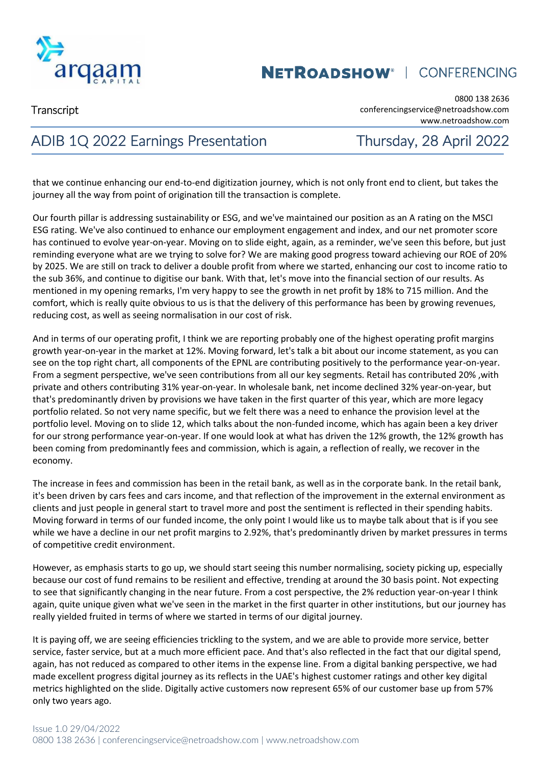

**Transcript** 

0800 138 2636 conferencingservice@netroadshow.com www.netroadshow.com

## ADIB 1Q 2022 Earnings Presentation Thursday, 28 April 2022

that we continue enhancing our end-to-end digitization journey, which is not only front end to client, but takes the journey all the way from point of origination till the transaction is complete.

Our fourth pillar is addressing sustainability or ESG, and we've maintained our position as an A rating on the MSCI ESG rating. We've also continued to enhance our employment engagement and index, and our net promoter score has continued to evolve year-on-year. Moving on to slide eight, again, as a reminder, we've seen this before, but just reminding everyone what are we trying to solve for? We are making good progress toward achieving our ROE of 20% by 2025. We are still on track to deliver a double profit from where we started, enhancing our cost to income ratio to the sub 36%, and continue to digitise our bank. With that, let's move into the financial section of our results. As mentioned in my opening remarks, I'm very happy to see the growth in net profit by 18% to 715 million. And the comfort, which is really quite obvious to us is that the delivery of this performance has been by growing revenues, reducing cost, as well as seeing normalisation in our cost of risk.

And in terms of our operating profit, I think we are reporting probably one of the highest operating profit margins growth year-on-year in the market at 12%. Moving forward, let's talk a bit about our income statement, as you can see on the top right chart, all components of the EPNL are contributing positively to the performance year-on-year. From a segment perspective, we've seen contributions from all our key segments. Retail has contributed 20% ,with private and others contributing 31% year-on-year. In wholesale bank, net income declined 32% year-on-year, but that's predominantly driven by provisions we have taken in the first quarter of this year, which are more legacy portfolio related. So not very name specific, but we felt there was a need to enhance the provision level at the portfolio level. Moving on to slide 12, which talks about the non-funded income, which has again been a key driver for our strong performance year-on-year. If one would look at what has driven the 12% growth, the 12% growth has been coming from predominantly fees and commission, which is again, a reflection of really, we recover in the economy.

The increase in fees and commission has been in the retail bank, as well as in the corporate bank. In the retail bank, it's been driven by cars fees and cars income, and that reflection of the improvement in the external environment as clients and just people in general start to travel more and post the sentiment is reflected in their spending habits. Moving forward in terms of our funded income, the only point I would like us to maybe talk about that is if you see while we have a decline in our net profit margins to 2.92%, that's predominantly driven by market pressures in terms of competitive credit environment.

However, as emphasis starts to go up, we should start seeing this number normalising, society picking up, especially because our cost of fund remains to be resilient and effective, trending at around the 30 basis point. Not expecting to see that significantly changing in the near future. From a cost perspective, the 2% reduction year-on-year I think again, quite unique given what we've seen in the market in the first quarter in other institutions, but our journey has really yielded fruited in terms of where we started in terms of our digital journey.

It is paying off, we are seeing efficiencies trickling to the system, and we are able to provide more service, better service, faster service, but at a much more efficient pace. And that's also reflected in the fact that our digital spend, again, has not reduced as compared to other items in the expense line. From a digital banking perspective, we had made excellent progress digital journey as its reflects in the UAE's highest customer ratings and other key digital metrics highlighted on the slide. Digitally active customers now represent 65% of our customer base up from 57% only two years ago.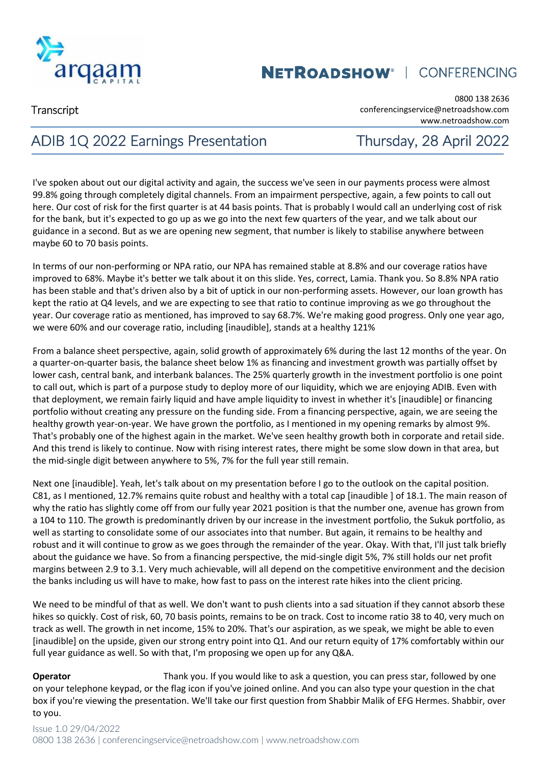

**Transcript** 

0800 138 2636 conferencingservice@netroadshow.com www.netroadshow.com

## ADIB 1Q 2022 Earnings Presentation Thursday, 28 April 2022

I've spoken about out our digital activity and again, the success we've seen in our payments process were almost 99.8% going through completely digital channels. From an impairment perspective, again, a few points to call out here. Our cost of risk for the first quarter is at 44 basis points. That is probably I would call an underlying cost of risk for the bank, but it's expected to go up as we go into the next few quarters of the year, and we talk about our guidance in a second. But as we are opening new segment, that number is likely to stabilise anywhere between maybe 60 to 70 basis points.

In terms of our non-performing or NPA ratio, our NPA has remained stable at 8.8% and our coverage ratios have improved to 68%. Maybe it's better we talk about it on this slide. Yes, correct, Lamia. Thank you. So 8.8% NPA ratio has been stable and that's driven also by a bit of uptick in our non-performing assets. However, our loan growth has kept the ratio at Q4 levels, and we are expecting to see that ratio to continue improving as we go throughout the year. Our coverage ratio as mentioned, has improved to say 68.7%. We're making good progress. Only one year ago, we were 60% and our coverage ratio, including [inaudible], stands at a healthy 121%

From a balance sheet perspective, again, solid growth of approximately 6% during the last 12 months of the year. On a quarter-on-quarter basis, the balance sheet below 1% as financing and investment growth was partially offset by lower cash, central bank, and interbank balances. The 25% quarterly growth in the investment portfolio is one point to call out, which is part of a purpose study to deploy more of our liquidity, which we are enjoying ADIB. Even with that deployment, we remain fairly liquid and have ample liquidity to invest in whether it's [inaudible] or financing portfolio without creating any pressure on the funding side. From a financing perspective, again, we are seeing the healthy growth year-on-year. We have grown the portfolio, as I mentioned in my opening remarks by almost 9%. That's probably one of the highest again in the market. We've seen healthy growth both in corporate and retail side. And this trend is likely to continue. Now with rising interest rates, there might be some slow down in that area, but the mid-single digit between anywhere to 5%, 7% for the full year still remain.

Next one [inaudible]. Yeah, let's talk about on my presentation before I go to the outlook on the capital position. C81, as I mentioned, 12.7% remains quite robust and healthy with a total cap [inaudible ] of 18.1. The main reason of why the ratio has slightly come off from our fully year 2021 position is that the number one, avenue has grown from a 104 to 110. The growth is predominantly driven by our increase in the investment portfolio, the Sukuk portfolio, as well as starting to consolidate some of our associates into that number. But again, it remains to be healthy and robust and it will continue to grow as we goes through the remainder of the year. Okay. With that, I'll just talk briefly about the guidance we have. So from a financing perspective, the mid-single digit 5%, 7% still holds our net profit margins between 2.9 to 3.1. Very much achievable, will all depend on the competitive environment and the decision the banks including us will have to make, how fast to pass on the interest rate hikes into the client pricing.

We need to be mindful of that as well. We don't want to push clients into a sad situation if they cannot absorb these hikes so quickly. Cost of risk, 60, 70 basis points, remains to be on track. Cost to income ratio 38 to 40, very much on track as well. The growth in net income, 15% to 20%. That's our aspiration, as we speak, we might be able to even [inaudible] on the upside, given our strong entry point into Q1. And our return equity of 17% comfortably within our full year guidance as well. So with that, I'm proposing we open up for any Q&A.

**Operator** Thank you. If you would like to ask a question, you can press star, followed by one on your telephone keypad, or the flag icon if you've joined online. And you can also type your question in the chat box if you're viewing the presentation. We'll take our first question from Shabbir Malik of EFG Hermes. Shabbir, over to you.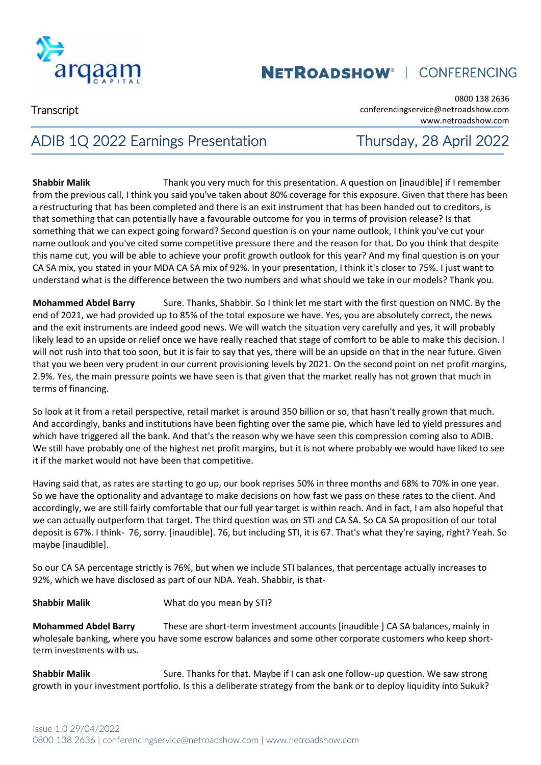

**Transcript** 

0800 138 2636 conferencingservice@netroadshow.com www.netroadshow.com

## ADIB 1Q 2022 Earnings Presentation Thursday, 28 April 2022

**Shabbir Malik** Thank you very much for this presentation. A question on [inaudible] if I remember from the previous call, I think you said you've taken about 80% coverage for this exposure. Given that there has been a restructuring that has been completed and there is an exit instrument that has been handed out to creditors, is that something that can potentially have a favourable outcome for you in terms of provision release? Is that something that we can expect going forward? Second question is on your name outlook, I think you've cut your name outlook and you've cited some competitive pressure there and the reason for that. Do you think that despite this name cut, you will be able to achieve your profit growth outlook for this year? And my final question is on your CA SA mix, you stated in your MDA CA SA mix of 92%. In your presentation, I think it's closer to 75%. I just want to understand what is the difference between the two numbers and what should we take in our models? Thank you.

**Mohammed Abdel Barry** Sure. Thanks, Shabbir. So I think let me start with the first question on NMC. By the end of 2021, we had provided up to 85% of the total exposure we have. Yes, you are absolutely correct, the news and the exit instruments are indeed good news. We will watch the situation very carefully and yes, it will probably likely lead to an upside or relief once we have really reached that stage of comfort to be able to make this decision. I will not rush into that too soon, but it is fair to say that yes, there will be an upside on that in the near future. Given that you we been very prudent in our current provisioning levels by 2021. On the second point on net profit margins, 2.9%. Yes, the main pressure points we have seen is that given that the market really has not grown that much in terms of financing.

So look at it from a retail perspective, retail market is around 350 billion or so, that hasn't really grown that much. And accordingly, banks and institutions have been fighting over the same pie, which have led to yield pressures and which have triggered all the bank. And that's the reason why we have seen this compression coming also to ADIB. We still have probably one of the highest net profit margins, but it is not where probably we would have liked to see it if the market would not have been that competitive.

Having said that, as rates are starting to go up, our book reprises 50% in three months and 68% to 70% in one year. So we have the optionality and advantage to make decisions on how fast we pass on these rates to the client. And accordingly, we are still fairly comfortable that our full year target is within reach. And in fact, I am also hopeful that we can actually outperform that target. The third question was on STI and CA SA. So CA SA proposition of our total deposit is 67%. I think- 76, sorry. [inaudible]. 76, but including STI, it is 67. That's what they're saying, right? Yeah. So maybe [inaudible].

So our CA SA percentage strictly is 76%, but when we include STI balances, that percentage actually increases to 92%, which we have disclosed as part of our NDA. Yeah. Shabbir, is that-

#### **Shabbir Malik** What do you mean by STI?

**Mohammed Abdel Barry** These are short-term investment accounts [inaudible ] CA SA balances, mainly in wholesale banking, where you have some escrow balances and some other corporate customers who keep shortterm investments with us.

**Shabbir Malik** Sure. Thanks for that. Maybe if I can ask one follow-up question. We saw strong growth in your investment portfolio. Is this a deliberate strategy from the bank or to deploy liquidity into Sukuk?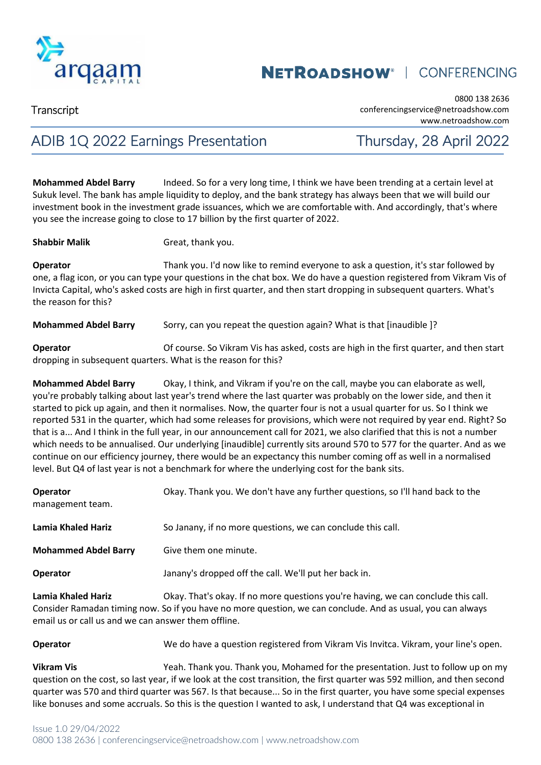

**Transcript** 

0800 138 2636 conferencingservice@netroadshow.com www.netroadshow.com

## ADIB 1Q 2022 Earnings Presentation Thursday, 28 April 2022

**Mohammed Abdel Barry** Indeed. So for a very long time, I think we have been trending at a certain level at Sukuk level. The bank has ample liquidity to deploy, and the bank strategy has always been that we will build our investment book in the investment grade issuances, which we are comfortable with. And accordingly, that's where you see the increase going to close to 17 billion by the first quarter of 2022.

**Shabbir Malik** Great, thank you.

**Operator Thank you. I'd now like to remind everyone to ask a question, it's star followed by** one, a flag icon, or you can type your questions in the chat box. We do have a question registered from Vikram Vis of Invicta Capital, who's asked costs are high in first quarter, and then start dropping in subsequent quarters. What's the reason for this?

**Mohammed Abdel Barry** Sorry, can you repeat the question again? What is that [inaudible ]?

**Operator Contains Constant Constant Vis has asked, costs are high in the first quarter, and then start quarter, and then start** dropping in subsequent quarters. What is the reason for this?

**Mohammed Abdel Barry** Okay, I think, and Vikram if you're on the call, maybe you can elaborate as well, you're probably talking about last year's trend where the last quarter was probably on the lower side, and then it started to pick up again, and then it normalises. Now, the quarter four is not a usual quarter for us. So I think we reported 531 in the quarter, which had some releases for provisions, which were not required by year end. Right? So that is a... And I think in the full year, in our announcement call for 2021, we also clarified that this is not a number which needs to be annualised. Our underlying [inaudible] currently sits around 570 to 577 for the quarter. And as we continue on our efficiency journey, there would be an expectancy this number coming off as well in a normalised level. But Q4 of last year is not a benchmark for where the underlying cost for the bank sits.

| <b>Operator</b><br>management team.<br><b>Lamia Khaled Hariz</b><br><b>Mohammed Abdel Barry</b><br><b>Operator</b> | Okay. Thank you. We don't have any further questions, so I'll hand back to the<br>So Janany, if no more questions, we can conclude this call.<br>Give them one minute.<br>Janany's dropped off the call. We'll put her back in. |                             |                                                                              |
|--------------------------------------------------------------------------------------------------------------------|---------------------------------------------------------------------------------------------------------------------------------------------------------------------------------------------------------------------------------|-----------------------------|------------------------------------------------------------------------------|
|                                                                                                                    |                                                                                                                                                                                                                                 | المتعايل الممامطانا متمعوما | Okou That's akou If no mare questions vaulre houing we son sonalude this sol |

**Lamia Khaled Hariz** Okay. That's okay. If no more questions you're having, we can conclude this call. Consider Ramadan timing now. So if you have no more question, we can conclude. And as usual, you can always email us or call us and we can answer them offline.

**Operator We do have a question registered from Vikram Vis Invitca. Vikram, your line's open.** 

**Vikram Vis** Yeah. Thank you. Thank you, Mohamed for the presentation. Just to follow up on my question on the cost, so last year, if we look at the cost transition, the first quarter was 592 million, and then second quarter was 570 and third quarter was 567. Is that because... So in the first quarter, you have some special expenses like bonuses and some accruals. So this is the question I wanted to ask, I understand that Q4 was exceptional in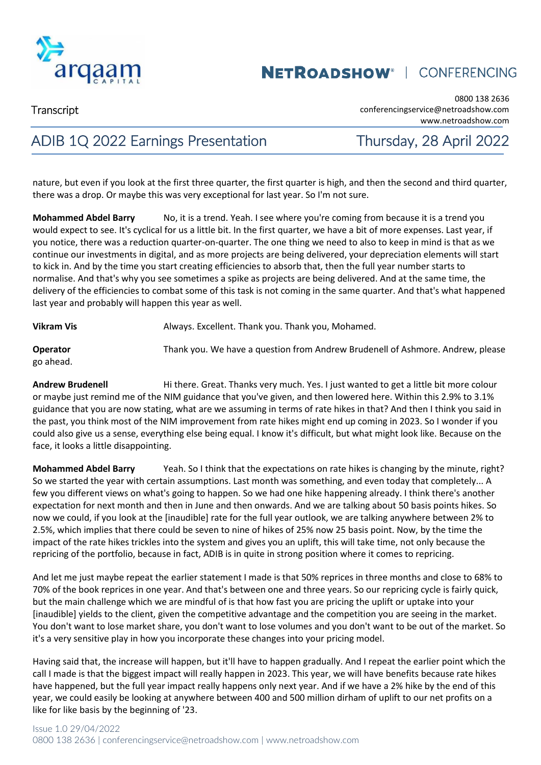

**Transcript** 

0800 138 2636 conferencingservice@netroadshow.com www.netroadshow.com

## ADIB 1Q 2022 Earnings Presentation Thursday, 28 April 2022

nature, but even if you look at the first three quarter, the first quarter is high, and then the second and third quarter, there was a drop. Or maybe this was very exceptional for last year. So I'm not sure.

**Mohammed Abdel Barry** No, it is a trend. Yeah. I see where you're coming from because it is a trend you would expect to see. It's cyclical for us a little bit. In the first quarter, we have a bit of more expenses. Last year, if you notice, there was a reduction quarter-on-quarter. The one thing we need to also to keep in mind is that as we continue our investments in digital, and as more projects are being delivered, your depreciation elements will start to kick in. And by the time you start creating efficiencies to absorb that, then the full year number starts to normalise. And that's why you see sometimes a spike as projects are being delivered. And at the same time, the delivery of the efficiencies to combat some of this task is not coming in the same quarter. And that's what happened last year and probably will happen this year as well.

**Vikram Vis Always. Excellent. Thank you. Thank you, Mohamed.** 

**Operator** Thank you. We have a question from Andrew Brudenell of Ashmore. Andrew, please go ahead.

**Andrew Brudenell** Hi there. Great. Thanks very much. Yes. I just wanted to get a little bit more colour or maybe just remind me of the NIM guidance that you've given, and then lowered here. Within this 2.9% to 3.1% guidance that you are now stating, what are we assuming in terms of rate hikes in that? And then I think you said in the past, you think most of the NIM improvement from rate hikes might end up coming in 2023. So I wonder if you could also give us a sense, everything else being equal. I know it's difficult, but what might look like. Because on the face, it looks a little disappointing.

**Mohammed Abdel Barry** Yeah. So I think that the expectations on rate hikes is changing by the minute, right? So we started the year with certain assumptions. Last month was something, and even today that completely... A few you different views on what's going to happen. So we had one hike happening already. I think there's another expectation for next month and then in June and then onwards. And we are talking about 50 basis points hikes. So now we could, if you look at the [inaudible] rate for the full year outlook, we are talking anywhere between 2% to 2.5%, which implies that there could be seven to nine of hikes of 25% now 25 basis point. Now, by the time the impact of the rate hikes trickles into the system and gives you an uplift, this will take time, not only because the repricing of the portfolio, because in fact, ADIB is in quite in strong position where it comes to repricing.

And let me just maybe repeat the earlier statement I made is that 50% reprices in three months and close to 68% to 70% of the book reprices in one year. And that's between one and three years. So our repricing cycle is fairly quick, but the main challenge which we are mindful of is that how fast you are pricing the uplift or uptake into your [inaudible] yields to the client, given the competitive advantage and the competition you are seeing in the market. You don't want to lose market share, you don't want to lose volumes and you don't want to be out of the market. So it's a very sensitive play in how you incorporate these changes into your pricing model.

Having said that, the increase will happen, but it'll have to happen gradually. And I repeat the earlier point which the call I made is that the biggest impact will really happen in 2023. This year, we will have benefits because rate hikes have happened, but the full year impact really happens only next year. And if we have a 2% hike by the end of this year, we could easily be looking at anywhere between 400 and 500 million dirham of uplift to our net profits on a like for like basis by the beginning of '23.